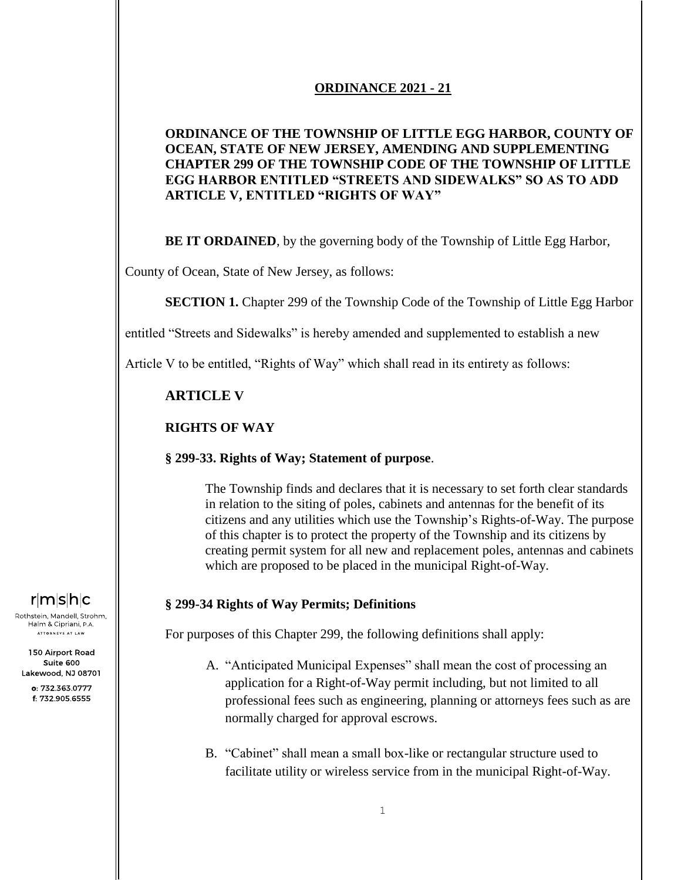#### **ORDINANCE 2021 - 21**

### **ORDINANCE OF THE TOWNSHIP OF LITTLE EGG HARBOR, COUNTY OF OCEAN, STATE OF NEW JERSEY, AMENDING AND SUPPLEMENTING CHAPTER 299 OF THE TOWNSHIP CODE OF THE TOWNSHIP OF LITTLE EGG HARBOR ENTITLED "STREETS AND SIDEWALKS" SO AS TO ADD ARTICLE V, ENTITLED "RIGHTS OF WAY"**

**BE IT ORDAINED**, by the governing body of the Township of Little Egg Harbor,

County of Ocean, State of New Jersey, as follows:

**SECTION 1.** Chapter 299 of the Township Code of the Township of Little Egg Harbor

entitled "Streets and Sidewalks" is hereby amended and supplemented to establish a new

Article V to be entitled, "Rights of Way" which shall read in its entirety as follows:

### **ARTICLE V**

### **RIGHTS OF WAY**

#### **§ 299-33. Rights of Way; Statement of purpose**.

The Township finds and declares that it is necessary to set forth clear standards in relation to the siting of poles, cabinets and antennas for the benefit of its citizens and any utilities which use the Township's Rights-of-Way. The purpose of this chapter is to protect the property of the Township and its citizens by creating permit system for all new and replacement poles, antennas and cabinets which are proposed to be placed in the municipal Right-of-Way.

### **§ 299-34 Rights of Way Permits; Definitions**

For purposes of this Chapter 299, the following definitions shall apply:

- A. "Anticipated Municipal Expenses" shall mean the cost of processing an application for a Right-of-Way permit including, but not limited to all professional fees such as engineering, planning or attorneys fees such as are normally charged for approval escrows.
- B. "Cabinet" shall mean a small box-like or rectangular structure used to facilitate utility or wireless service from in the municipal Right-of-Way.

### $r|m|s|h|c$

Rothstein, Mandell, Strohm, Halm & Cipriani, P.A. .<br>ATTORNEYS AT LAW

150 Airport Road Suite 600 Lakewood, NJ 08701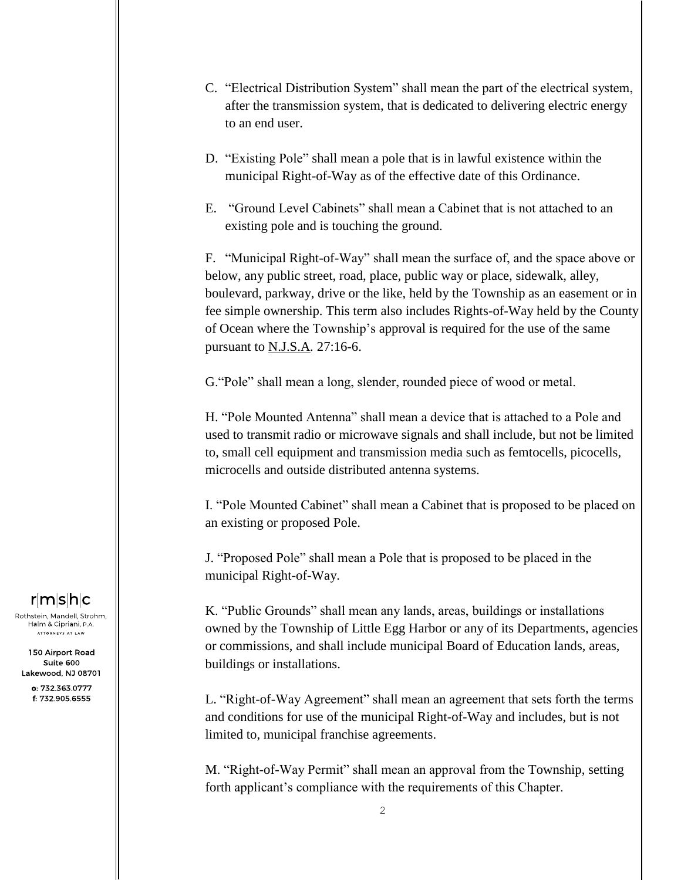- C. "Electrical Distribution System" shall mean the part of the electrical system, after the transmission system, that is dedicated to delivering electric energy to an end user.
- D. "Existing Pole" shall mean a pole that is in lawful existence within the municipal Right-of-Way as of the effective date of this Ordinance.
- E. "Ground Level Cabinets" shall mean a Cabinet that is not attached to an existing pole and is touching the ground.

F. "Municipal Right-of-Way" shall mean the surface of, and the space above or below, any public street, road, place, public way or place, sidewalk, alley, boulevard, parkway, drive or the like, held by the Township as an easement or in fee simple ownership. This term also includes Rights-of-Way held by the County of Ocean where the Township's approval is required for the use of the same pursuant to N.J.S.A*.* 27:16-6.

G."Pole" shall mean a long, slender, rounded piece of wood or metal.

H. "Pole Mounted Antenna" shall mean a device that is attached to a Pole and used to transmit radio or microwave signals and shall include, but not be limited to, small cell equipment and transmission media such as femtocells, picocells, microcells and outside distributed antenna systems.

I. "Pole Mounted Cabinet" shall mean a Cabinet that is proposed to be placed on an existing or proposed Pole.

J. "Proposed Pole" shall mean a Pole that is proposed to be placed in the municipal Right-of-Way.

K. "Public Grounds" shall mean any lands, areas, buildings or installations owned by the Township of Little Egg Harbor or any of its Departments, agencies or commissions, and shall include municipal Board of Education lands, areas, buildings or installations.

L. "Right-of-Way Agreement" shall mean an agreement that sets forth the terms and conditions for use of the municipal Right-of-Way and includes, but is not limited to, municipal franchise agreements.

M. "Right-of-Way Permit" shall mean an approval from the Township, setting forth applicant's compliance with the requirements of this Chapter.

## $r|m|s|h|c$

Rothstein, Mandell, Strohm, Halm & Cipriani, P.A. .<br>ATTORNEYS AT LAW

150 Airport Road Suite 600 Lakewood, NJ 08701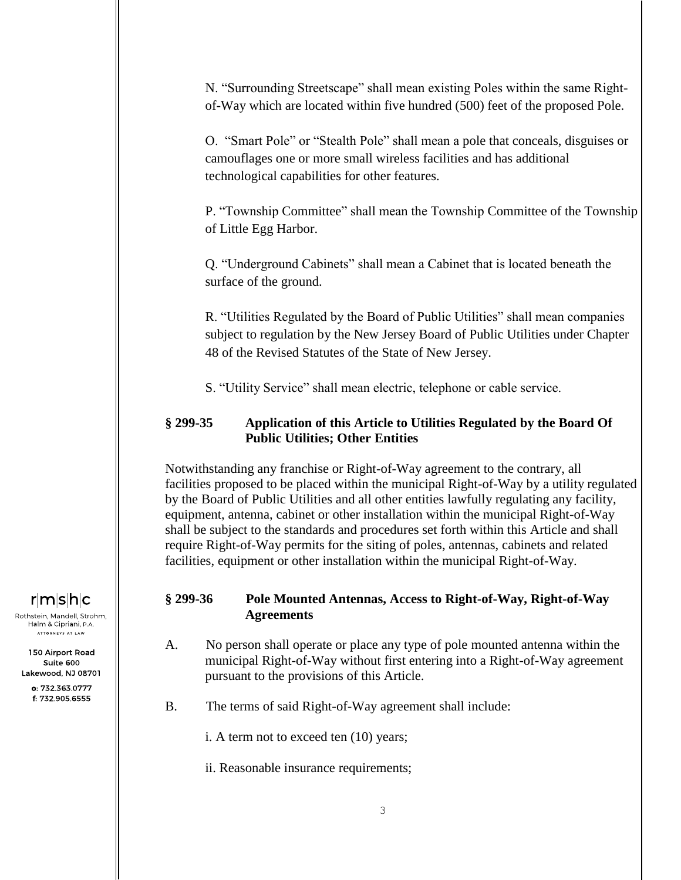N. "Surrounding Streetscape" shall mean existing Poles within the same Rightof-Way which are located within five hundred (500) feet of the proposed Pole.

O. "Smart Pole" or "Stealth Pole" shall mean a pole that conceals, disguises or camouflages one or more small wireless facilities and has additional technological capabilities for other features.

P. "Township Committee" shall mean the Township Committee of the Township of Little Egg Harbor.

Q. "Underground Cabinets" shall mean a Cabinet that is located beneath the surface of the ground.

R. "Utilities Regulated by the Board of Public Utilities" shall mean companies subject to regulation by the New Jersey Board of Public Utilities under Chapter 48 of the Revised Statutes of the State of New Jersey.

S. "Utility Service" shall mean electric, telephone or cable service.

### **§ 299-35 Application of this Article to Utilities Regulated by the Board Of Public Utilities; Other Entities**

Notwithstanding any franchise or Right-of-Way agreement to the contrary, all facilities proposed to be placed within the municipal Right-of-Way by a utility regulated by the Board of Public Utilities and all other entities lawfully regulating any facility, equipment, antenna, cabinet or other installation within the municipal Right-of-Way shall be subject to the standards and procedures set forth within this Article and shall require Right-of-Way permits for the siting of poles, antennas, cabinets and related facilities, equipment or other installation within the municipal Right-of-Way.

#### **§ 299-36 Pole Mounted Antennas, Access to Right-of-Way, Right-of-Way Agreements**

- A. No person shall operate or place any type of pole mounted antenna within the municipal Right-of-Way without first entering into a Right-of-Way agreement pursuant to the provisions of this Article.
- B. The terms of said Right-of-Way agreement shall include:
	- i. A term not to exceed ten (10) years;
	- ii. Reasonable insurance requirements;

## $r|m|s|h|c$

Rothstein, Mandell, Strohm, Halm & Cipriani, P.A. .<br>ATTORNEYS AT LAW

150 Airport Road Suite 600 Lakewood, NJ 08701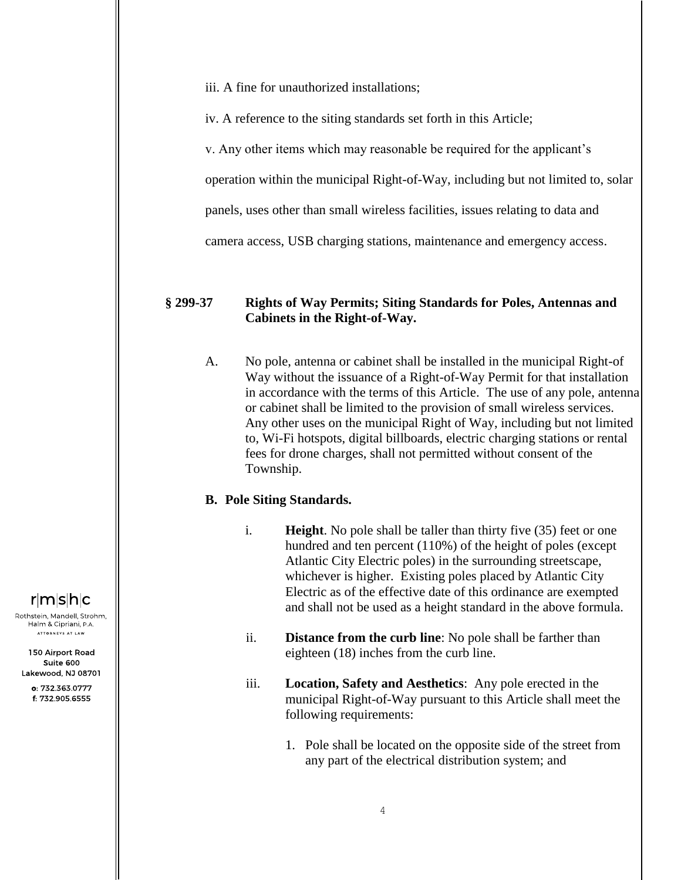iii. A fine for unauthorized installations;

iv. A reference to the siting standards set forth in this Article;

v. Any other items which may reasonable be required for the applicant's

operation within the municipal Right-of-Way, including but not limited to, solar

panels, uses other than small wireless facilities, issues relating to data and

camera access, USB charging stations, maintenance and emergency access.

#### **§ 299-37 Rights of Way Permits; Siting Standards for Poles, Antennas and Cabinets in the Right-of-Way.**

A. No pole, antenna or cabinet shall be installed in the municipal Right-of Way without the issuance of a Right-of-Way Permit for that installation in accordance with the terms of this Article. The use of any pole, antenna or cabinet shall be limited to the provision of small wireless services. Any other uses on the municipal Right of Way, including but not limited to, Wi-Fi hotspots, digital billboards, electric charging stations or rental fees for drone charges, shall not permitted without consent of the Township.

#### **B. Pole Siting Standards.**

- i. **Height**. No pole shall be taller than thirty five (35) feet or one hundred and ten percent (110%) of the height of poles (except Atlantic City Electric poles) in the surrounding streetscape, whichever is higher. Existing poles placed by Atlantic City Electric as of the effective date of this ordinance are exempted and shall not be used as a height standard in the above formula.
- ii. **Distance from the curb line**: No pole shall be farther than eighteen (18) inches from the curb line.
- iii. **Location, Safety and Aesthetics**: Any pole erected in the municipal Right-of-Way pursuant to this Article shall meet the following requirements:
	- 1. Pole shall be located on the opposite side of the street from any part of the electrical distribution system; and

### $r|m|s|h|c$

Rothstein, Mandell, Strohm, Halm & Cipriani, P.A. .<br>ATTORNEYS AT LAW

150 Airport Road Suite 600 Lakewood, NJ 08701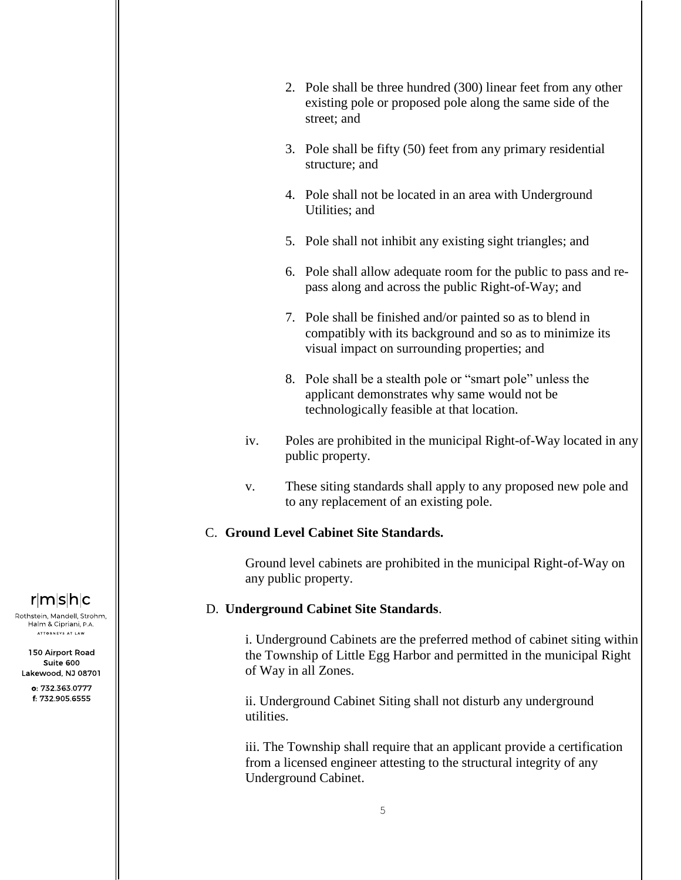- 2. Pole shall be three hundred (300) linear feet from any other existing pole or proposed pole along the same side of the street; and
- 3. Pole shall be fifty (50) feet from any primary residential structure; and
- 4. Pole shall not be located in an area with Underground Utilities; and
- 5. Pole shall not inhibit any existing sight triangles; and
- 6. Pole shall allow adequate room for the public to pass and repass along and across the public Right-of-Way; and
- 7. Pole shall be finished and/or painted so as to blend in compatibly with its background and so as to minimize its visual impact on surrounding properties; and
- 8. Pole shall be a stealth pole or "smart pole" unless the applicant demonstrates why same would not be technologically feasible at that location.
- iv. Poles are prohibited in the municipal Right-of-Way located in any public property.
- v. These siting standards shall apply to any proposed new pole and to any replacement of an existing pole.

#### C. **Ground Level Cabinet Site Standards.**

Ground level cabinets are prohibited in the municipal Right-of-Way on any public property.

#### D. **Underground Cabinet Site Standards**.

i. Underground Cabinets are the preferred method of cabinet siting within the Township of Little Egg Harbor and permitted in the municipal Right of Way in all Zones.

ii. Underground Cabinet Siting shall not disturb any underground utilities.

iii. The Township shall require that an applicant provide a certification from a licensed engineer attesting to the structural integrity of any Underground Cabinet.

# $r|m|s|h|c$

Rothstein, Mandell, Strohm, Halm & Cipriani, P.A. ATTORNEYS AT LAW

150 Airport Road Suite 600 Lakewood, NJ 08701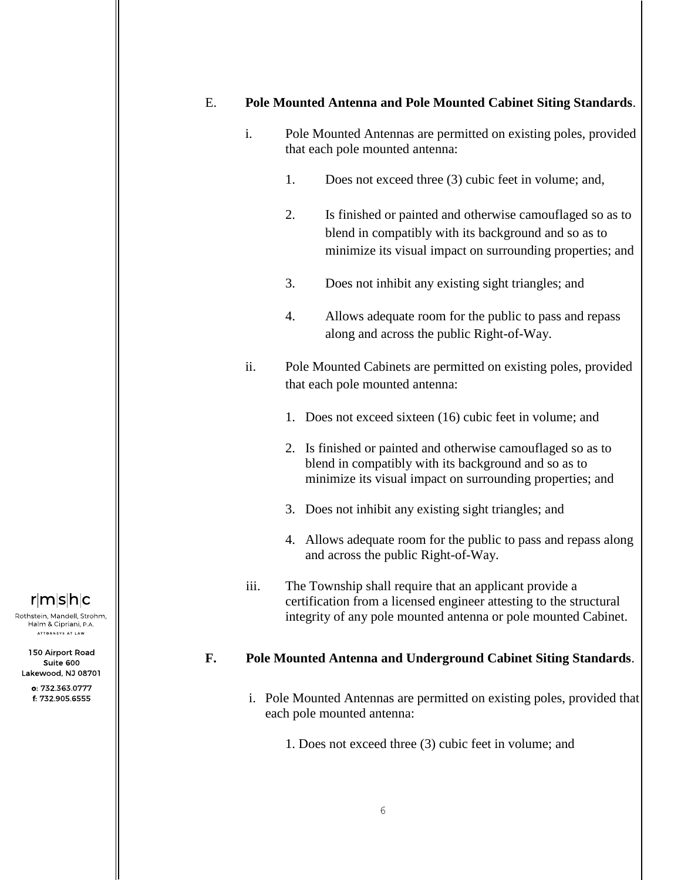#### E. **Pole Mounted Antenna and Pole Mounted Cabinet Siting Standards**.

- i. Pole Mounted Antennas are permitted on existing poles, provided that each pole mounted antenna:
	- 1. Does not exceed three (3) cubic feet in volume; and,
	- 2. Is finished or painted and otherwise camouflaged so as to blend in compatibly with its background and so as to minimize its visual impact on surrounding properties; and
	- 3. Does not inhibit any existing sight triangles; and
	- 4. Allows adequate room for the public to pass and repass along and across the public Right-of-Way.
- ii. Pole Mounted Cabinets are permitted on existing poles, provided that each pole mounted antenna:
	- 1. Does not exceed sixteen (16) cubic feet in volume; and
	- 2. Is finished or painted and otherwise camouflaged so as to blend in compatibly with its background and so as to minimize its visual impact on surrounding properties; and
	- 3. Does not inhibit any existing sight triangles; and
	- 4. Allows adequate room for the public to pass and repass along and across the public Right-of-Way.
- iii. The Township shall require that an applicant provide a certification from a licensed engineer attesting to the structural integrity of any pole mounted antenna or pole mounted Cabinet.

#### **F. Pole Mounted Antenna and Underground Cabinet Siting Standards**.

i. Pole Mounted Antennas are permitted on existing poles, provided that each pole mounted antenna:

1. Does not exceed three (3) cubic feet in volume; and

### $r|m|s|h|c$

Rothstein, Mandell, Strohm, Halm & Cipriani, P.A. .<br>ATTORNEYS AT LAW

150 Airport Road Suite 600 Lakewood, NJ 08701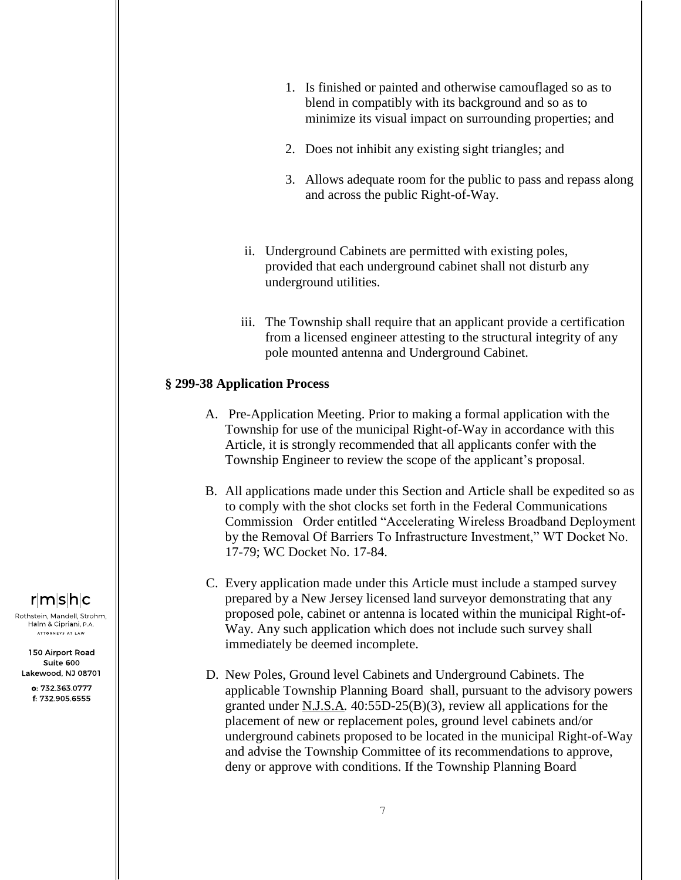- 1. Is finished or painted and otherwise camouflaged so as to blend in compatibly with its background and so as to minimize its visual impact on surrounding properties; and
- 2. Does not inhibit any existing sight triangles; and
- 3. Allows adequate room for the public to pass and repass along and across the public Right-of-Way.
- ii. Underground Cabinets are permitted with existing poles, provided that each underground cabinet shall not disturb any underground utilities.
- iii. The Township shall require that an applicant provide a certification from a licensed engineer attesting to the structural integrity of any pole mounted antenna and Underground Cabinet.

#### **§ 299-38 Application Process**

- A. Pre-Application Meeting. Prior to making a formal application with the Township for use of the municipal Right-of-Way in accordance with this Article, it is strongly recommended that all applicants confer with the Township Engineer to review the scope of the applicant's proposal.
- B. All applications made under this Section and Article shall be expedited so as to comply with the shot clocks set forth in the Federal Communications Commission Order entitled "Accelerating Wireless Broadband Deployment by the Removal Of Barriers To Infrastructure Investment," WT Docket No. 17-79; WC Docket No. 17-84.
- C. Every application made under this Article must include a stamped survey prepared by a New Jersey licensed land surveyor demonstrating that any proposed pole, cabinet or antenna is located within the municipal Right-of-Way. Any such application which does not include such survey shall immediately be deemed incomplete.
- D. New Poles, Ground level Cabinets and Underground Cabinets. The applicable Township Planning Board shall, pursuant to the advisory powers granted under N.J.S.A*.* 40:55D-25(B)(3), review all applications for the placement of new or replacement poles, ground level cabinets and/or underground cabinets proposed to be located in the municipal Right-of-Way and advise the Township Committee of its recommendations to approve, deny or approve with conditions. If the Township Planning Board

## $r|m|s|h|c$

Rothstein, Mandell, Strohm, Halm & Cipriani, P.A. .<br>ATTORNEYS AT LAW

150 Airport Road Suite 600 Lakewood, NJ 08701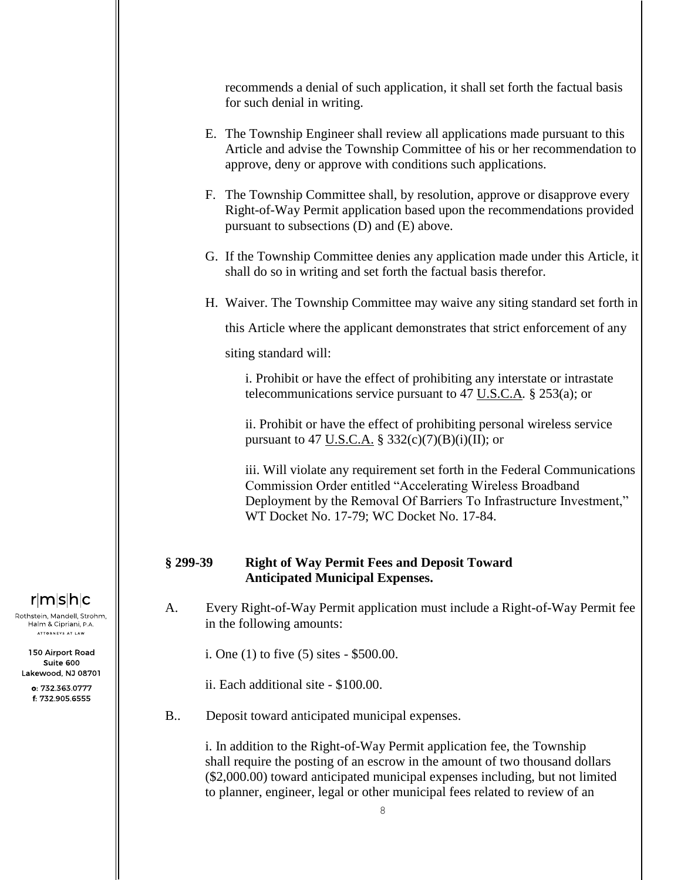recommends a denial of such application, it shall set forth the factual basis for such denial in writing.

- E. The Township Engineer shall review all applications made pursuant to this Article and advise the Township Committee of his or her recommendation to approve, deny or approve with conditions such applications.
- F. The Township Committee shall, by resolution, approve or disapprove every Right-of-Way Permit application based upon the recommendations provided pursuant to subsections (D) and (E) above.
- G. If the Township Committee denies any application made under this Article, it shall do so in writing and set forth the factual basis therefor.
- H. Waiver. The Township Committee may waive any siting standard set forth in

this Article where the applicant demonstrates that strict enforcement of any

siting standard will:

i. Prohibit or have the effect of prohibiting any interstate or intrastate telecommunications service pursuant to 47 U.S.C.A*.* § 253(a); or

ii. Prohibit or have the effect of prohibiting personal wireless service pursuant to 47 U.S.C.A. § 332(c)(7)(B)(i)(II); or

iii. Will violate any requirement set forth in the Federal Communications Commission Order entitled "Accelerating Wireless Broadband Deployment by the Removal Of Barriers To Infrastructure Investment," WT Docket No. 17-79; WC Docket No. 17-84.

#### **§ 299-39 Right of Way Permit Fees and Deposit Toward Anticipated Municipal Expenses.**

A. Every Right-of-Way Permit application must include a Right-of-Way Permit fee in the following amounts:

i. One (1) to five (5) sites - \$500.00.

ii. Each additional site - \$100.00.

B.. Deposit toward anticipated municipal expenses.

i. In addition to the Right-of-Way Permit application fee, the Township shall require the posting of an escrow in the amount of two thousand dollars (\$2,000.00) toward anticipated municipal expenses including, but not limited to planner, engineer, legal or other municipal fees related to review of an

# $r|m|s|h|c$

Rothstein, Mandell, Strohm, Halm & Cipriani, P.A. .<br>ATTORNEYS AT LAW

150 Airport Road Suite 600 Lakewood, NJ 08701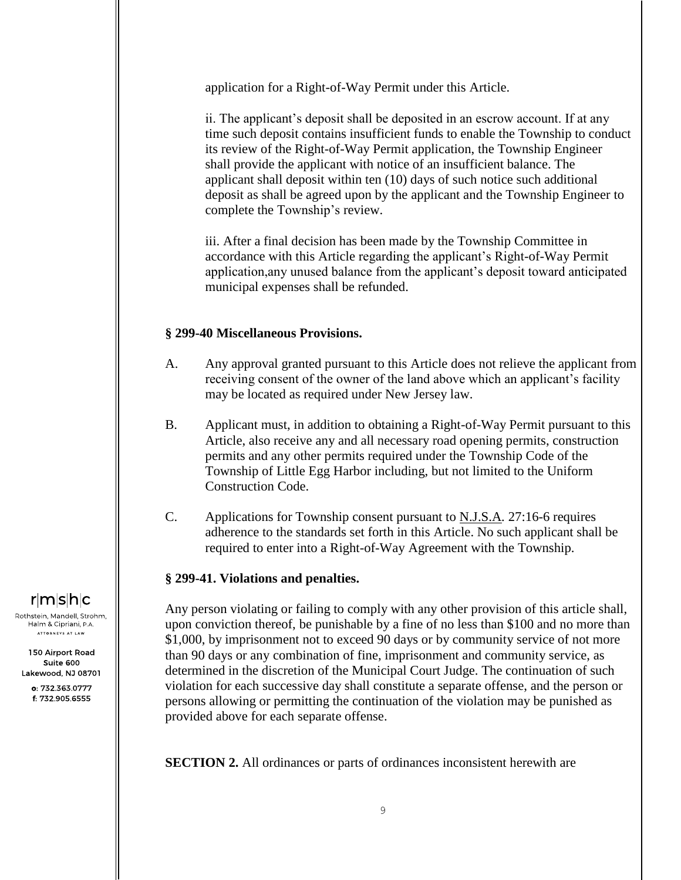application for a Right-of-Way Permit under this Article.

ii. The applicant's deposit shall be deposited in an escrow account. If at any time such deposit contains insufficient funds to enable the Township to conduct its review of the Right-of-Way Permit application, the Township Engineer shall provide the applicant with notice of an insufficient balance. The applicant shall deposit within ten (10) days of such notice such additional deposit as shall be agreed upon by the applicant and the Township Engineer to complete the Township's review.

iii. After a final decision has been made by the Township Committee in accordance with this Article regarding the applicant's Right-of-Way Permit application,any unused balance from the applicant's deposit toward anticipated municipal expenses shall be refunded.

### **§ 299-40 Miscellaneous Provisions.**

- A. Any approval granted pursuant to this Article does not relieve the applicant from receiving consent of the owner of the land above which an applicant's facility may be located as required under New Jersey law.
- B. Applicant must, in addition to obtaining a Right-of-Way Permit pursuant to this Article, also receive any and all necessary road opening permits, construction permits and any other permits required under the Township Code of the Township of Little Egg Harbor including, but not limited to the Uniform Construction Code.
- C. Applications for Township consent pursuant to N.J.S.A*.* 27:16-6 requires adherence to the standards set forth in this Article. No such applicant shall be required to enter into a Right-of-Way Agreement with the Township.

#### **§ 299-41. Violations and penalties.**

Any person violating or failing to comply with any other provision of this article shall, upon conviction thereof, be punishable by a fine of no less than \$100 and no more than \$1,000, by imprisonment not to exceed 90 days or by community service of not more than 90 days or any combination of fine, imprisonment and community service, as determined in the discretion of the Municipal Court Judge. The continuation of such violation for each successive day shall constitute a separate offense, and the person or persons allowing or permitting the continuation of the violation may be punished as provided above for each separate offense.

**SECTION 2.** All ordinances or parts of ordinances inconsistent herewith are

### $r|m|s|h|c$

Rothstein, Mandell, Strohm, Halm & Cipriani, P.A. ATTORNEYS AT LAW

150 Airport Road Suite 600 Lakewood, NJ 08701